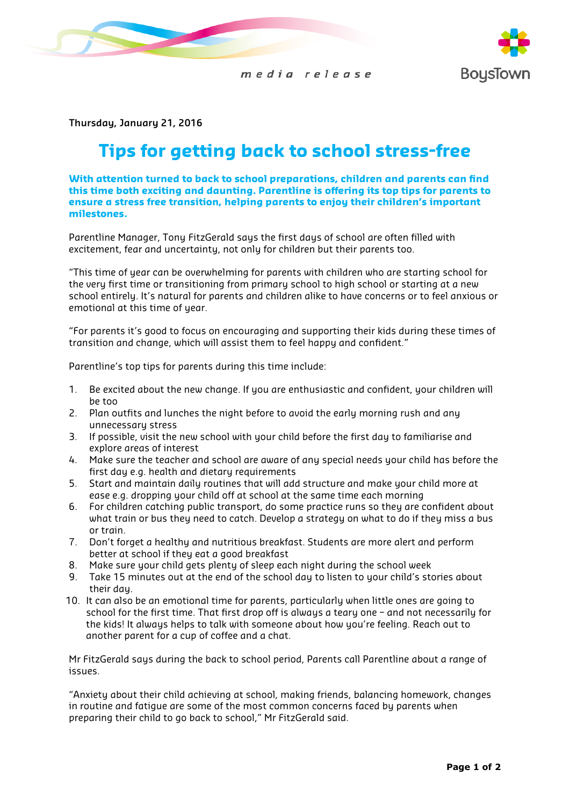





**Thursday, January 21, 2016**

## **Tips for getting back to school stress-free**

**With attention turned to back to school preparations, children and parents can find this time both exciting and daunting. Parentline is offering its top tips for parents to ensure a stress free transition, helping parents to enjoy their children's important milestones.**

Parentline Manager, Tony FitzGerald says the first days of school are often filled with excitement, fear and uncertainty, not only for children but their parents too.

"This time of year can be overwhelming for parents with children who are starting school for the very first time or transitioning from primary school to high school or starting at a new school entirely. It's natural for parents and children alike to have concerns or to feel anxious or emotional at this time of year.

"For parents it's good to focus on encouraging and supporting their kids during these times of transition and change, which will assist them to feel happy and confident."

Parentline's top tips for parents during this time include:

- 1. Be excited about the new change. If you are enthusiastic and confident, your children will be too
- 2. Plan outfits and lunches the night before to avoid the early morning rush and any unnecessary stress
- 3. If possible, visit the new school with your child before the first day to familiarise and explore areas of interest
- 4. Make sure the teacher and school are aware of any special needs your child has before the first day e.g. health and dietary requirements
- 5. Start and maintain daily routines that will add structure and make your child more at ease e.g. dropping your child off at school at the same time each morning
- 6. For children catching public transport, do some practice runs so they are confident about what train or bus they need to catch. Develop a strategy on what to do if they miss a bus or train.
- 7. Don't forget a healthy and nutritious breakfast. Students are more alert and perform better at school if they eat a good breakfast
- 8. Make sure your child gets plenty of sleep each night during the school week
- 9. Take 15 minutes out at the end of the school day to listen to your child's stories about their day.
- 10. It can also be an emotional time for parents, particularly when little ones are going to school for the first time. That first drop off is always a teary one – and not necessarily for the kids! It always helps to talk with someone about how you're feeling. Reach out to another parent for a cup of coffee and a chat.

Mr FitzGerald says during the back to school period, Parents call Parentline about a range of issues.

"Anxiety about their child achieving at school, making friends, balancing homework, changes in routine and fatigue are some of the most common concerns faced by parents when preparing their child to go back to school," Mr FitzGerald said.